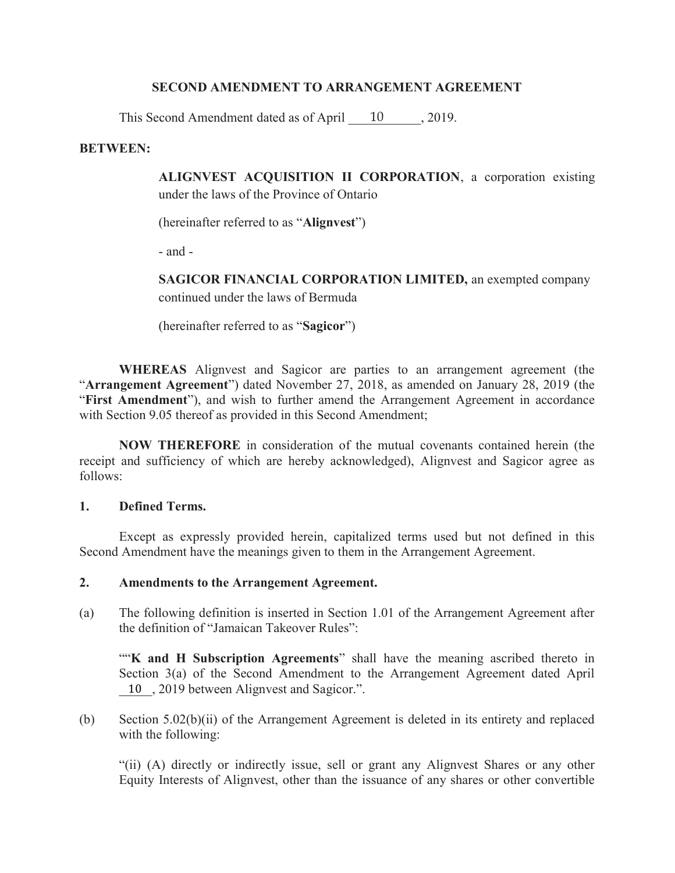### SECOND AMENDMENT TO ARRANGEMENT AGREEMENT

This Second Amendment dated as of April 10, 2019.

### BETWEEN:

ALIGNVEST ACQUISITION II CORPORATION, a corporation existing under the laws of the Province of Ontario

(hereinafter referred to as "Alignvest")

- and -

SAGICOR FINANCIAL CORPORATION LIMITED, an exempted company continued under the laws of Bermuda

(hereinafter referred to as "Sagicor")

WHEREAS Alignvest and Sagicor are parties to an arrangement agreement (the "Arrangement Agreement") dated November 27, 2018, as amended on January 28, 2019 (the "First Amendment"), and wish to further amend the Arrangement Agreement in accordance with Section 9.05 thereof as provided in this Second Amendment;

NOW THEREFORE in consideration of the mutual covenants contained herein (the receipt and sufficiency of which are hereby acknowledged), Alignvest and Sagicor agree as follows:

### 1. Defined Terms.

Except as expressly provided herein, capitalized terms used but not defined in this Second Amendment have the meanings given to them in the Arrangement Agreement.

### 2. Amendments to the Arrangement Agreement.

(a) The following definition is inserted in Section 1.01 of the Arrangement Agreement after the definition of "Jamaican Takeover Rules":

"K and H Subscription Agreements" shall have the meaning ascribed thereto in Section 3(a) of the Second Amendment to the Arrangement Agreement dated April 10, 2019 between Alignvest and Sagicor.".

(b) Section 5.02(b)(ii) of the Arrangement Agreement is deleted in its entirety and replaced with the following:

"(ii) (A) directly or indirectly issue, sell or grant any Alignvest Shares or any other Equity Interests of Alignvest, other than the issuance of any shares or other convertible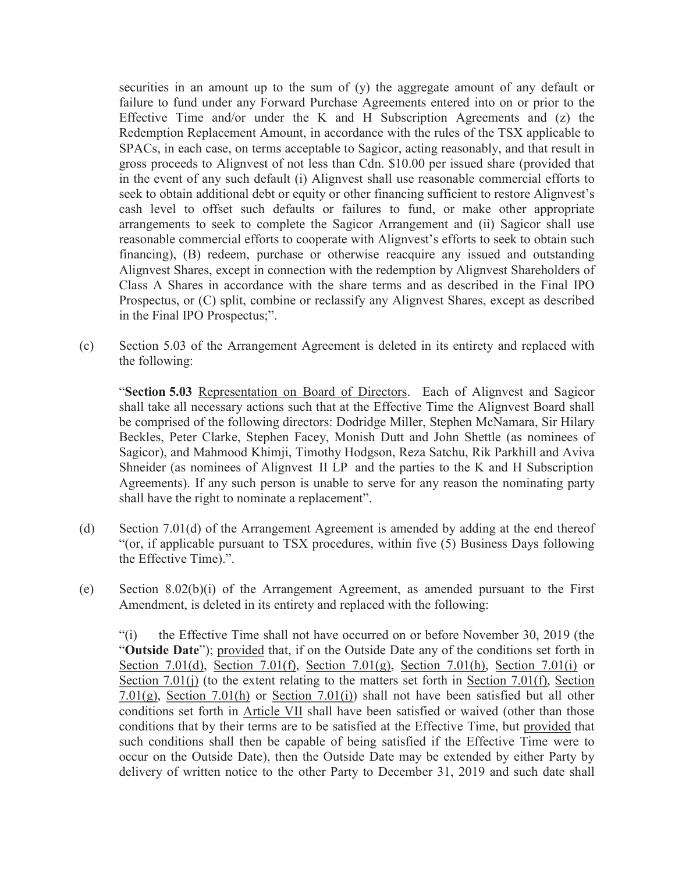securities in an amount up to the sum of (y) the aggregate amount of any default or failure to fund under any Forward Purchase Agreements entered into on or prior to the Effective Time and/or under the K and H Subscription Agreements and  $(z)$  the Redemption Replacement Amount, in accordance with the rules of the TSX applicable to SPACs, in each case, on terms acceptable to Sagicor, acting reasonably, and that result in gross proceeds to Alignvest of not less than Cdn. \$10.00 per issued share (provided that in the event of any such default (i) Alignvest shall use reasonable commercial efforts to seek to obtain additional debt or equity or other financing sufficient to restore Alignvest's cash level to offset such defaults or failures to fund, or make other appropriate arrangements to seek to complete the Sagicor Arrangement and (ii) Sagicor shall use reasonable commercial efforts to cooperate with Alignvest's efforts to seek to obtain such financing), (B) redeem, purchase or otherwise reacquire any issued and outstanding Alignvest Shares, except in connection with the redemption by Alignvest Shareholders of Class A Shares in accordance with the share terms and as described in the Final IPO Prospectus, or (C) split, combine or reclassify any Alignvest Shares, except as described in the Final IPO Prospectus;".

(c) Section 5.03 of the Arrangement Agreement is deleted in its entirety and replaced with the following:

"Section 5.03 Representation on Board of Directors. Each of Alignvest and Sagicor shall take all necessary actions such that at the Effective Time the Alignvest Board shall be comprised of the following directors: Dodridge Miller, Stephen McNamara, Sir Hilary Beckles, Peter Clarke, Stephen Facey, Monish Dutt and John Shettle (as nominees of Sagicor), and Mahmood Khimji, Timothy Hodgson, Reza Satchu, Rik Parkhill and Aviva Shneider (as nominees of AlignvestII LPand the parties to the K and H Subscription Agreements). If any such person is unable to serve for any reason the nominating party shall have the right to nominate a replacement".

- (d) Section 7.01(d) of the Arrangement Agreement is amended by adding at the end thereof "(or, if applicable pursuant to TSX procedures, within five (5) Business Days following the Effective Time).".
- (e) Section 8.02(b)(i) of the Arrangement Agreement, as amended pursuant to the First Amendment, is deleted in its entirety and replaced with the following:

"(i) the Effective Time shall not have occurred on or before November 30, 2019 (the "Outside Date"); provided that, if on the Outside Date any of the conditions set forth in Section 7.01(d), Section 7.01(f), Section 7.01(g), Section 7.01(h), Section 7.01(i) or Section 7.01(j) (to the extent relating to the matters set forth in Section 7.01(f), Section 7.01(g), Section 7.01(h) or Section 7.01(i)) shall not have been satisfied but all other conditions set forth in Article VII shall have been satisfied or waived (other than those conditions that by their terms are to be satisfied at the Effective Time, but provided that such conditions shall then be capable of being satisfied if the Effective Time were to occur on the Outside Date), then the Outside Date may be extended by either Party by delivery of written notice to the other Party to December 31, 2019 and such date shall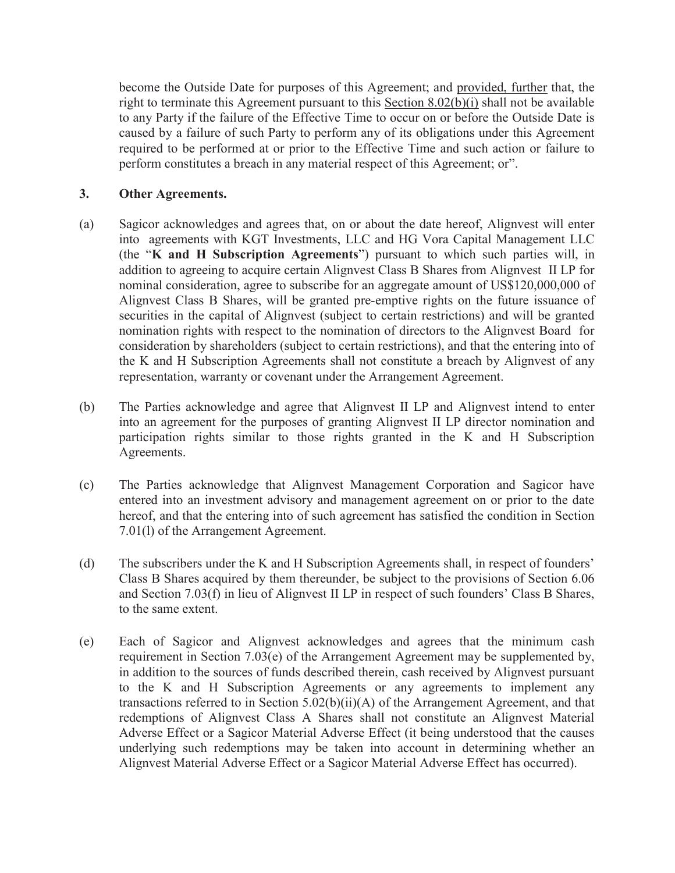become the Outside Date for purposes of this Agreement; and provided, further that, the right to terminate this Agreement pursuant to this Section 8.02(b)(i) shall not be available to any Party if the failure of the Effective Time to occur on or before the Outside Date is caused by a failure of such Party to perform any of its obligations under this Agreement required to be performed at or prior to the Effective Time and such action or failure to perform constitutes a breach in any material respect of this Agreement; or".

# 3. Other Agreements.

- (a) Sagicor acknowledges and agrees that, on or about the date hereof, Alignvest will enter into agreements with KGT Investments, LLC and HG Vora Capital Management LLC (the "K and H Subscription Agreements") pursuant to which such parties will, in addition to agreeing to acquire certain Alignvest Class B Shares from Alignvest II LP for nominal consideration, agree to subscribe for an aggregate amount of US\$120,000,000 of Alignvest Class B Shares, will be granted pre-emptive rights on the future issuance of securities in the capital of Alignvest (subject to certain restrictions) and will be granted nomination rights with respect to the nomination of directors to the Alignvest Board for consideration by shareholders (subject to certain restrictions), and that the entering into of the K and H Subscription Agreements shall not constitute a breach by Alignvest of any representation, warranty or covenant under the Arrangement Agreement.
- (b) The Parties acknowledge and agree that Alignvest II LP and Alignvest intend to enter into an agreement for the purposes of granting Alignvest II LP director nomination and participation rights similar to those rights granted in the K and H Subscription Agreements.
- (c) The Parties acknowledge that Alignvest Management Corporation and Sagicor have entered into an investment advisory and management agreement on or prior to the date hereof, and that the entering into of such agreement has satisfied the condition in Section 7.01(l) of the Arrangement Agreement.
- (d) The subscribers under the K and H Subscription Agreements shall, in respect of founders' Class B Shares acquired by them thereunder, be subject to the provisions of Section 6.06 and Section 7.03(f) in lieu of Alignvest II LP in respect of such founders' Class B Shares, to the same extent.
- (e) Each of Sagicor and Alignvest acknowledges and agrees that the minimum cash requirement in Section 7.03(e) of the Arrangement Agreement may be supplemented by, in addition to the sources of funds described therein, cash received by Alignvest pursuant to the K and H Subscription Agreements or any agreements to implement any transactions referred to in Section 5.02(b)(ii)(A) of the Arrangement Agreement, and that redemptions of Alignvest Class A Shares shall not constitute an Alignvest Material Adverse Effect or a Sagicor Material Adverse Effect (it being understood that the causes underlying such redemptions may be taken into account in determining whether an Alignvest Material Adverse Effect or a Sagicor Material Adverse Effect has occurred).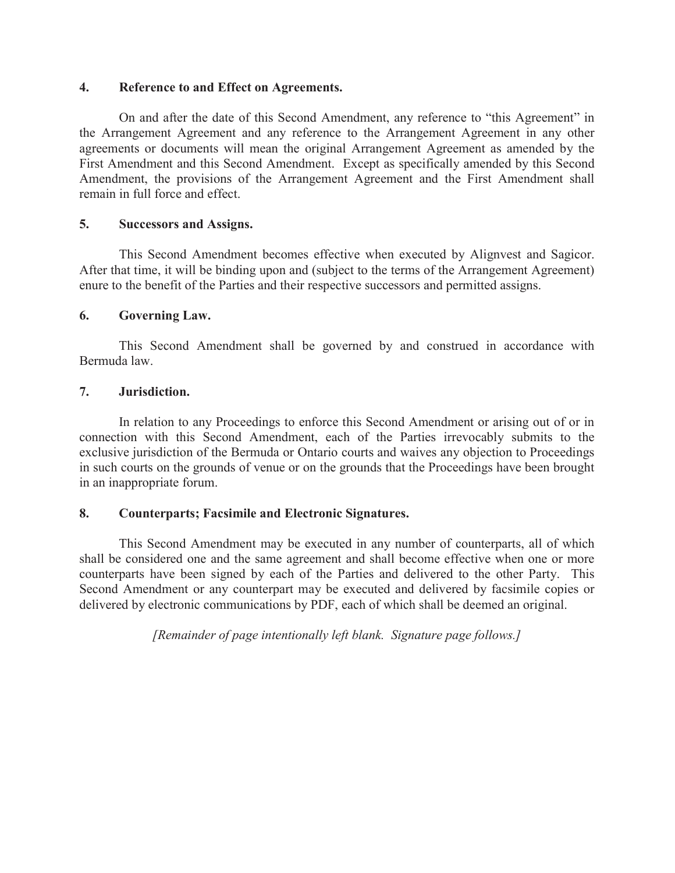#### 4. Reference to and Effect on Agreements.

On and after the date of this Second Amendment, any reference to "this Agreement" in the Arrangement Agreement and any reference to the Arrangement Agreement in any other agreements or documents will mean the original Arrangement Agreement as amended by the First Amendment and this Second Amendment. Except as specifically amended by this Second Amendment, the provisions of the Arrangement Agreement and the First Amendment shall remain in full force and effect.

### 5. Successors and Assigns.

This Second Amendment becomes effective when executed by Alignvest and Sagicor. After that time, it will be binding upon and (subject to the terms of the Arrangement Agreement) enure to the benefit of the Parties and their respective successors and permitted assigns.

# 6. Governing Law.

This Second Amendment shall be governed by and construed in accordance with Bermuda law.

# 7. Jurisdiction.

In relation to any Proceedings to enforce this Second Amendment or arising out of or in connection with this Second Amendment, each of the Parties irrevocably submits to the exclusive jurisdiction of the Bermuda or Ontario courts and waives any objection to Proceedings in such courts on the grounds of venue or on the grounds that the Proceedings have been brought in an inappropriate forum.

### 8. Counterparts; Facsimile and Electronic Signatures.

This Second Amendment may be executed in any number of counterparts, all of which shall be considered one and the same agreement and shall become effective when one or more counterparts have been signed by each of the Parties and delivered to the other Party. This Second Amendment or any counterpart may be executed and delivered by facsimile copies or delivered by electronic communications by PDF, each of which shall be deemed an original.

*[Remainder of page intentionally left blank. Signature page follows.]*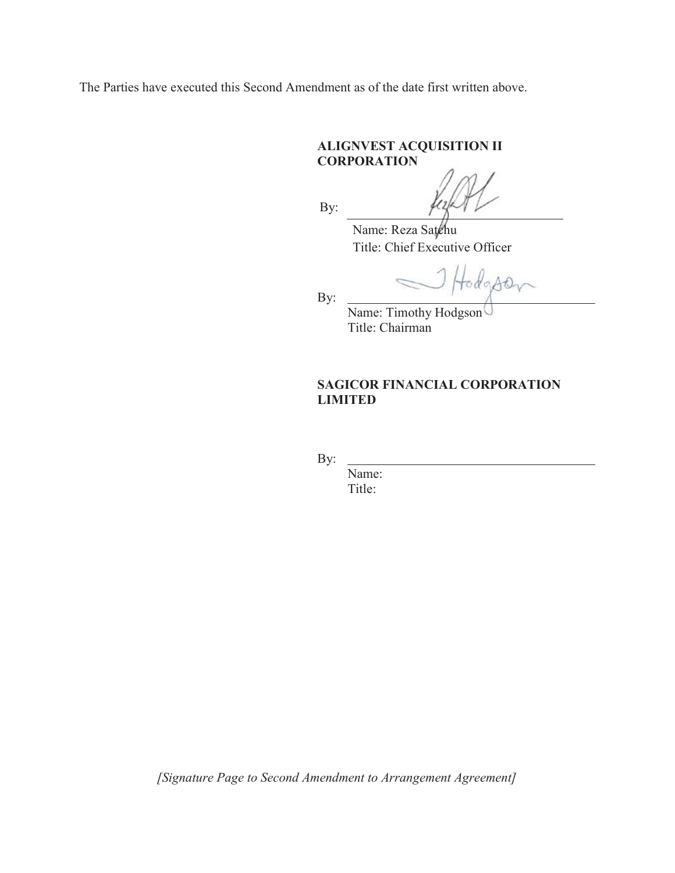The Parties have executed this Second Amendment as of the date first written above.

# ALIGNVEST ACQUISITION II **CORPORATION**

By:

Name: Reza Satchu Title: Chief Executive Officer

Hodgson

By:

Name: Timothy Hodgson Title: Chairman

# SAGICOR FINANCIAL CORPORATION LIMITED

By:

Name: Title:

*[Signature Page to Second Amendment to Arrangement Agreement]*